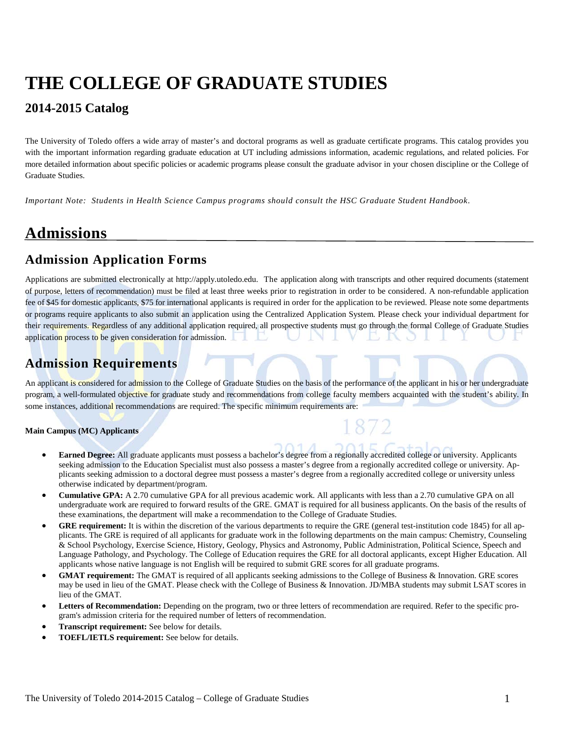# **THE COLLEGE OF GRADUATE STUDIES**

### **2014-2015 Catalog**

The University of Toledo offers a wide array of master's and doctoral programs as well as graduate certificate programs. This catalog provides you with the important information regarding graduate education at UT including admissions information, academic regulations, and related policies. For more detailed information about specific policies or academic programs please consult the graduate advisor in your chosen discipline or the College of Graduate Studies.

*Important Note: Students in Health Science Campus programs should consult the HSC Graduate Student Handbook*.

# **Admissions**

### **Admission Application Forms**

Applications are submitted electronically at http://apply.utoledo.edu.The application along with transcripts and other required documents (statement of purpose, letters of recommendation) must be filed at least three weeks prior to registration in order to be considered. A non-refundable application fee of \$45 for domestic applicants, \$75 for international applicants is required in order for the application to be reviewed. Please note some departments or programs require applicants to also submit an application using the Centralized Application System. Please check your individual department for their requirements. Regardless of any additional application required, all prospective students must go through the formal College of Graduate Studies application process to be given consideration for admission.

### **Admission Requirements**

An applicant is considered for admission to the College of Graduate Studies on the basis of the performance of the applicant in his or her undergraduate program, a well-formulated objective for graduate study and recommendations from college faculty members acquainted with the student's ability. In some instances, additional recommendations are required. The specific minimum requirements are:

#### **Main Campus (MC) Applicants**

- **Earned Degree:** All graduate applicants must possess a bachelor's degree from a regionally accredited college or university. Applicants seeking admission to the Education Specialist must also possess a master's degree from a regionally accredited college or university. Applicants seeking admission to a doctoral degree must possess a master's degree from a regionally accredited college or university unless otherwise indicated by department/program.
- **Cumulative GPA:** A 2.70 cumulative GPA for all previous academic work. All applicants with less than a 2.70 cumulative GPA on all undergraduate work are required to forward results of the GRE. GMAT is required for all business applicants. On the basis of the results of these examinations, the department will make a recommendation to the College of Graduate Studies.
- **GRE requirement:** It is within the discretion of the various departments to require the GRE (general test-institution code 1845) for all applicants. The GRE is required of all applicants for graduate work in the following departments on the main campus: Chemistry, Counseling & School Psychology, Exercise Science, History, Geology, Physics and Astronomy, Public Administration, Political Science, Speech and Language Pathology, and Psychology. The College of Education requires the GRE for all doctoral applicants, except Higher Education. All applicants whose native language is not English will be required to submit GRE scores for all graduate programs.
- **GMAT requirement:** The GMAT is required of all applicants seeking admissions to the College of Business & Innovation. GRE scores may be used in lieu of the GMAT. Please check with the College of Business & Innovation. JD/MBA students may submit LSAT scores in lieu of the GMAT.
- **Letters of Recommendation:** Depending on the program, two or three letters of recommendation are required. Refer to the specific program's admission criteria for the required number of letters of recommendation.
- **Transcript requirement:** See below for details.
- **TOEFL/IETLS requirement:** See below for details.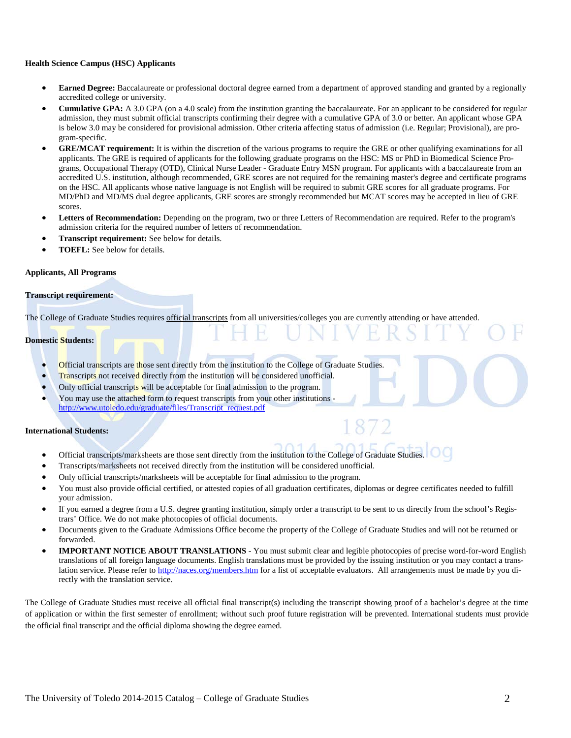#### **Health Science Campus (HSC) Applicants**

- **Earned Degree:** Baccalaureate or professional doctoral degree earned from a department of approved standing and granted by a regionally accredited college or university.
- **Cumulative GPA:** A 3.0 GPA (on a 4.0 scale) from the institution granting the baccalaureate. For an applicant to be considered for regular admission, they must submit official transcripts confirming their degree with a cumulative GPA of 3.0 or better. An applicant whose GPA is below 3.0 may be considered for provisional admission. Other criteria affecting status of admission (i.e. Regular; Provisional), are program-specific.
- **GRE/MCAT requirement:** It is within the discretion of the various programs to require the GRE or other qualifying examinations for all applicants. The GRE is required of applicants for the following graduate programs on the HSC: MS or PhD in Biomedical Science Programs, Occupational Therapy (OTD), Clinical Nurse Leader - Graduate Entry MSN program. For applicants with a baccalaureate from an accredited U.S. institution, although recommended, GRE scores are not required for the remaining master's degree and certificate programs on the HSC. All applicants whose native language is not English will be required to submit GRE scores for all graduate programs. For MD/PhD and MD/MS dual degree applicants, GRE scores are strongly recommended but MCAT scores may be accepted in lieu of GRE scores.
- **Letters of Recommendation:** Depending on the program, two or three Letters of Recommendation are required. Refer to the program's admission criteria for the required number of letters of recommendation.
- **Transcript requirement:** See below for details.
- **TOEFL:** See below for details.

#### **Applicants, All Programs**

#### **Transcript requirement:**

The College of Graduate Studies requires official transcripts from all universities/colleges you are currently attending or have attended.

#### **Domestic Students:**

- **Official transcripts are those sent directly from the institution to the College of Graduate Studies.**
- **Transcripts not received directly from the institution will be considered unofficial.**
- Only official transcripts will be acceptable for final admission to the program.
- You may use the attached form to request transcripts from your other institutions [http://www.utoledo.edu/graduate/files/Transcript\\_request.pdf](http://www.utoledo.edu/graduate/files/Transcript_request.pdf)

#### **International Students:**

- Official transcripts/marksheets are those sent directly from the institution to the College of Graduate Studies.
- Transcripts/marksheets not received directly from the institution will be considered unofficial.
- Only official transcripts/marksheets will be acceptable for final admission to the program.
- You must also provide official certified, or attested copies of all graduation certificates, diplomas or degree certificates needed to fulfill your admission.
- If you earned a degree from a U.S. degree granting institution, simply order a transcript to be sent to us directly from the school's Registrars' Office. We do not make photocopies of official documents.
- Documents given to the Graduate Admissions Office become the property of the College of Graduate Studies and will not be returned or forwarded.
- **IMPORTANT NOTICE ABOUT TRANSLATIONS** You must submit clear and legible photocopies of precise word-for-word English translations of all foreign language documents. English translations must be provided by the issuing institution or you may contact a translation service. Please refer t[o http://naces.org/members.htm](http://naces.org/members.htm) for a list of acceptable evaluators. All arrangements must be made by you directly with the translation service.

The College of Graduate Studies must receive all official final transcript(s) including the transcript showing proof of a bachelor's degree at the time of application or within the first semester of enrollment; without such proof future registration will be prevented. International students must provide the official final transcript and the official diploma showing the degree earned.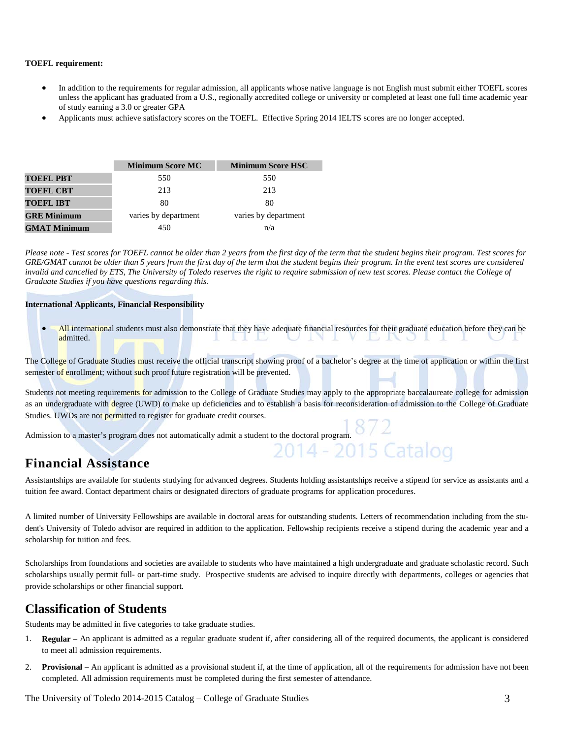#### **TOEFL requirement:**

- In addition to the requirements for regular admission, all applicants whose native language is not English must submit either TOEFL scores unless the applicant has graduated from a U.S., regionally accredited college or university or completed at least one full time academic year of study earning a 3.0 or greater GPA
- Applicants must achieve satisfactory scores on the TOEFL. Effective Spring 2014 IELTS scores are no longer accepted.

|                     | <b>Minimum Score MC</b> | <b>Minimum Score HSC</b> |
|---------------------|-------------------------|--------------------------|
| <b>TOEFL PBT</b>    | 550                     | 550                      |
| <b>TOEFL CBT</b>    | 213                     | 213                      |
| <b>TOEFL IBT</b>    | 80                      | 80                       |
| <b>GRE Minimum</b>  | varies by department    | varies by department     |
| <b>GMAT Minimum</b> | 450                     | n/a                      |

*Please note - Test scores for TOEFL cannot be older than 2 years from the first day of the term that the student begins their program. Test scores for*  GRE/GMAT cannot be older than 5 years from the first day of the term that the student begins their program. In the event test scores are considered invalid and cancelled by ETS, The University of Toledo reserves the right to require submission of new test scores. Please contact the College of *Graduate Studies if you have questions regarding this.*

#### **International Applicants, Financial Responsibility**

• All international students must also demonstrate that they have adequate financial resources for their graduate education before they can be admitted. admitted. state to the

The College of Graduate Studies must receive the official transcript showing proof of a bachelor's degree at the time of application or within the first semester of enrollment; without such proof future registration will be prevented.

Students not meeting requirements for admission to the College of Graduate Studies may apply to the appropriate baccalaureate college for admission as an undergraduate with degree (UWD) to make up deficiencies and to establish a basis for reconsideration of admission to the College of Graduate Studies. UWDs are not permitted to register for graduate credit courses.

Admission to a master's program does not automatically admit a student to the doctoral program.  $8/2$ <br>2014 - 2015 Catalog

#### **Financial Assistance**

Assistantships are available for students studying for advanced degrees. Students holding assistantships receive a stipend for service as assistants and a tuition fee award. Contact department chairs or designated directors of graduate programs for application procedures.

A limited number of University Fellowships are available in doctoral areas for outstanding students. Letters of recommendation including from the student's University of Toledo advisor are required in addition to the application. Fellowship recipients receive a stipend during the academic year and a scholarship for tuition and fees.

Scholarships from foundations and societies are available to students who have maintained a high undergraduate and graduate scholastic record. Such scholarships usually permit full- or part-time study. Prospective students are advised to inquire directly with departments, colleges or agencies that provide scholarships or other financial support.

#### **Classification of Students**

Students may be admitted in five categories to take graduate studies.

- 1. **Regular –** An applicant is admitted as a regular graduate student if, after considering all of the required documents, the applicant is considered to meet all admission requirements.
- 2. **Provisional –** An applicant is admitted as a provisional student if, at the time of application, all of the requirements for admission have not been completed. All admission requirements must be completed during the first semester of attendance.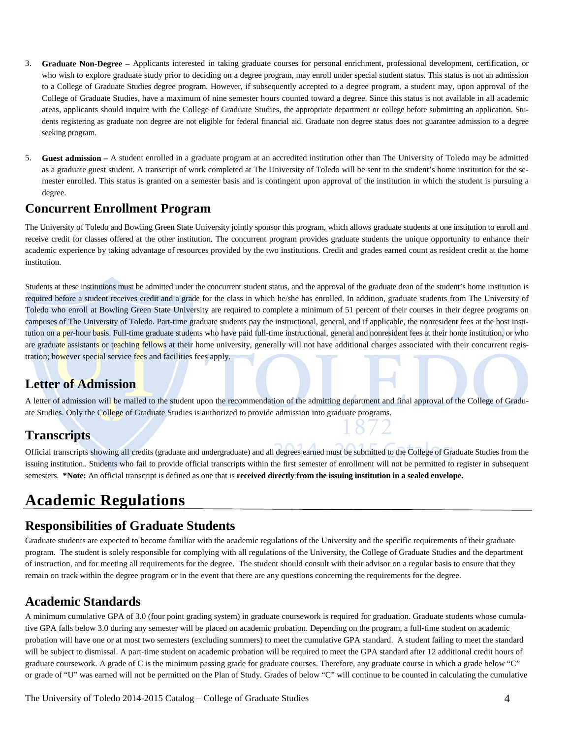- 3. **Graduate Non-Degree –** Applicants interested in taking graduate courses for personal enrichment, professional development, certification, or who wish to explore graduate study prior to deciding on a degree program, may enroll under special student status. This status is not an admission to a College of Graduate Studies degree program. However, if subsequently accepted to a degree program, a student may, upon approval of the College of Graduate Studies, have a maximum of nine semester hours counted toward a degree. Since this status is not available in all academic areas, applicants should inquire with the College of Graduate Studies, the appropriate department or college before submitting an application. Students registering as graduate non degree are not eligible for federal financial aid. Graduate non degree status does not guarantee admission to a degree seeking program.
- 5. **Guest admission –** A student enrolled in a graduate program at an accredited institution other than The University of Toledo may be admitted as a graduate guest student. A transcript of work completed at The University of Toledo will be sent to the student's home institution for the semester enrolled. This status is granted on a semester basis and is contingent upon approval of the institution in which the student is pursuing a degree.

#### **Concurrent Enrollment Program**

The University of Toledo and Bowling Green State University jointly sponsor this program, which allows graduate students at one institution to enroll and receive credit for classes offered at the other institution. The concurrent program provides graduate students the unique opportunity to enhance their academic experience by taking advantage of resources provided by the two institutions. Credit and grades earned count as resident credit at the home institution.

Students at these institutions must be admitted under the concurrent student status, and the approval of the graduate dean of the student's home institution is required before a student receives credit and a grade for the class in which he/she has enrolled. In addition, graduate students from The University of Toledo who enroll at Bowling Green State University are required to complete a minimum of 51 percent of their courses in their degree programs on campuses of The University of Toledo. Part-time graduate students pay the instructional, general, and if applicable, the nonresident fees at the host institution on a per-hour basis. Full-time graduate students who have paid full-time instructional, general and nonresident fees at their home institution, or who are graduate assistants or teaching fellows at their home university, generally will not have additional charges associated with their concurrent registration; however special service fees and facilities fees apply.

#### **Letter of Admission**

A letter of admission will be mailed to the student upon the recommendation of the admitting department and final approval of the College of Graduate Studies. Only the College of Graduate Studies is authorized to provide admission into graduate programs.

### **Transcripts**

Official transcripts showing all credits (graduate and undergraduate) and all degrees earned must be submitted to the College of Graduate Studies from the issuing institution.. Students who fail to provide official transcripts within the first semester of enrollment will not be permitted to register in subsequent semesters. **\*Note:** An official transcript is defined as one that is **received directly from the issuing institution in a sealed envelope.** 

# **Academic Regulations**

#### **Responsibilities of Graduate Students**

Graduate students are expected to become familiar with the academic regulations of the University and the specific requirements of their graduate program. The student is solely responsible for complying with all regulations of the University, the College of Graduate Studies and the department of instruction, and for meeting all requirements for the degree. The student should consult with their advisor on a regular basis to ensure that they remain on track within the degree program or in the event that there are any questions concerning the requirements for the degree.

### **Academic Standards**

A minimum cumulative GPA of 3.0 (four point grading system) in graduate coursework is required for graduation. Graduate students whose cumulative GPA falls below 3.0 during any semester will be placed on academic probation. Depending on the program, a full‐time student on academic probation will have one or at most two semesters (excluding summers) to meet the cumulative GPA standard. A student failing to meet the standard will be subject to dismissal. A part-time student on academic probation will be required to meet the GPA standard after 12 additional credit hours of graduate coursework. A grade of C is the minimum passing grade for graduate courses. Therefore, any graduate course in which a grade below "C" or grade of "U" was earned will not be permitted on the Plan of Study. Grades of below "C" will continue to be counted in calculating the cumulative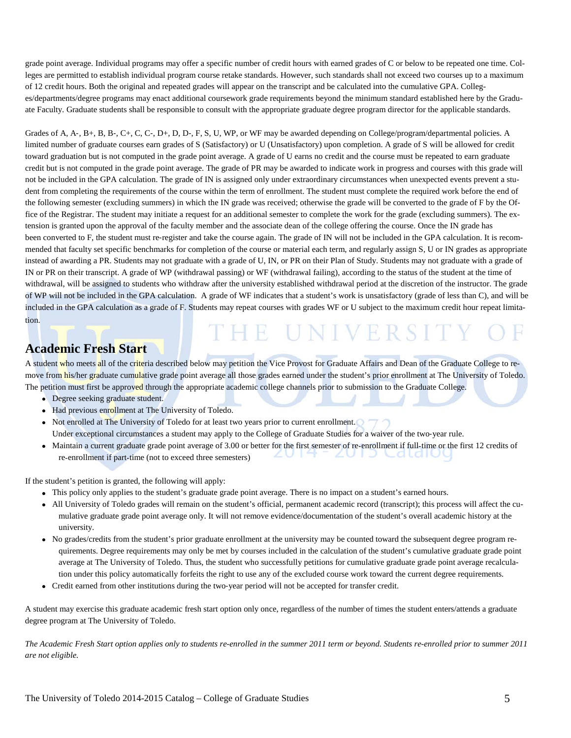grade point average. Individual programs may offer a specific number of credit hours with earned grades of C or below to be repeated one time. Colleges are permitted to establish individual program course retake standards. However, such standards shall not exceed two courses up to a maximum of 12 credit hours. Both the original and repeated grades will appear on the transcript and be calculated into the cumulative GPA. Colleges/departments/degree programs may enact additional coursework grade requirements beyond the minimum standard established here by the Graduate Faculty. Graduate students shall be responsible to consult with the appropriate graduate degree program director for the applicable standards.

Grades of A, A-, B+, B, B-, C+, C, C-, D+, D, D-, F, S, U, WP, or WF may be awarded depending on College/program/departmental policies. A limited number of graduate courses earn grades of S (Satisfactory) or U (Unsatisfactory) upon completion. A grade of S will be allowed for credit toward graduation but is not computed in the grade point average. A grade of U earns no credit and the course must be repeated to earn graduate credit but is not computed in the grade point average. The grade of PR may be awarded to indicate work in progress and courses with this grade will not be included in the GPA calculation. The grade of IN is assigned only under extraordinary circumstances when unexpected events prevent a student from completing the requirements of the course within the term of enrollment. The student must complete the required work before the end of the following semester (excluding summers) in which the IN grade was received; otherwise the grade will be converted to the grade of F by the Office of the Registrar. The student may initiate a request for an additional semester to complete the work for the grade (excluding summers). The extension is granted upon the approval of the faculty member and the associate dean of the college offering the course. Once the IN grade has been converted to F, the student must re-register and take the course again. The grade of IN will not be included in the GPA calculation. It is recommended that faculty set specific benchmarks for completion of the course or material each term, and regularly assign S, U or IN grades as appropriate instead of awarding a PR. Students may not graduate with a grade of U, IN, or PR on their Plan of Study. Students may not graduate with a grade of IN or PR on their transcript. A grade of WP (withdrawal passing) or WF (withdrawal failing), according to the status of the student at the time of withdrawal, will be assigned to students who withdraw after the university established withdrawal period at the discretion of the instructor. The grade of WP will not be included in the GPA calculation. A grade of WF indicates that a student's work is unsatisfactory (grade of less than C), and will be included in the GPA calculation as a grade of F. Students may repeat courses with grades WF or U subject to the maximum credit hour repeat limitation.

#### **Academic Fresh Start**

A student who meets all of the criteria described below may petition the Vice Provost for Graduate Affairs and Dean of the Graduate College to remove from his/her graduate cumulative grade point average all those grades earned under the student's prior enrollment at The University of Toledo. The petition must first be approved through the appropriate academic college channels prior to submission to the Graduate College.

THE UNIVERSI

- Degree seeking graduate student.
- Had previous enrollment at The University of Toledo.
- Not enrolled at The University of Toledo for at least two years prior to current enrollment.
	- Under exceptional circumstances a student may apply to the College of Graduate Studies for a waiver of the two-year rule.
- Maintain a current graduate grade point average of 3.00 or better for the first semester of re-enrollment if full-time or the first 12 credits of re-enrollment if part-time (not to exceed three semesters) re-enrollment if part-time (not to exceed three semesters)

If the student's petition is granted, the following will apply:

- This policy only applies to the student's graduate grade point average. There is no impact on a student's earned hours.
- All University of Toledo grades will remain on the student's official, permanent academic record (transcript); this process will affect the cumulative graduate grade point average only. It will not remove evidence/documentation of the student's overall academic history at the university.
- No grades/credits from the student's prior graduate enrollment at the university may be counted toward the subsequent degree program requirements. Degree requirements may only be met by courses included in the calculation of the student's cumulative graduate grade point average at The University of Toledo. Thus, the student who successfully petitions for cumulative graduate grade point average recalculation under this policy automatically forfeits the right to use any of the excluded course work toward the current degree requirements.
- Credit earned from other institutions during the two-year period will not be accepted for transfer credit.

A student may exercise this graduate academic fresh start option only once, regardless of the number of times the student enters/attends a graduate degree program at The University of Toledo.

*The Academic Fresh Start option applies only to students re-enrolled in the summer 2011 term or beyond. Students re-enrolled prior to summer 2011 are not eligible.*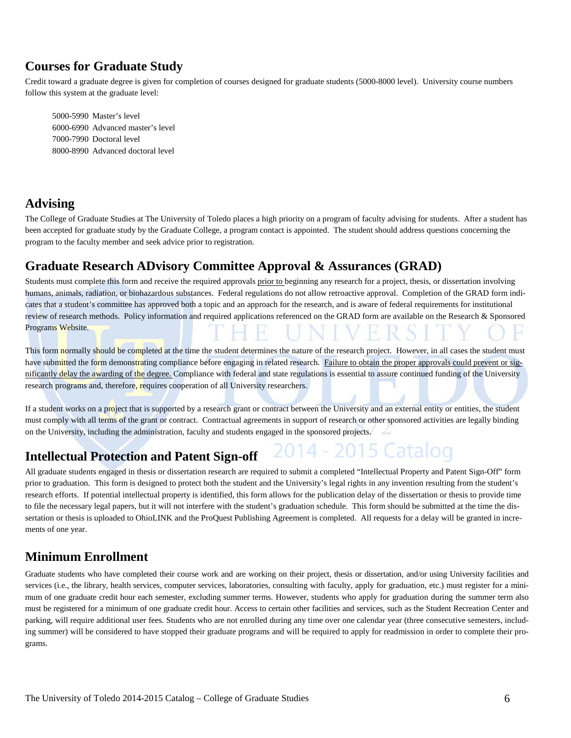### **Courses for Graduate Study**

Credit toward a graduate degree is given for completion of courses designed for graduate students (5000-8000 level). University course numbers follow this system at the graduate level:

5000-5990 Master's level 6000-6990 Advanced master's level 7000-7990 Doctoral level 8000-8990 Advanced doctoral level

### **Advising**

The College of Graduate Studies at The University of Toledo places a high priority on a program of faculty advising for students. After a student has been accepted for graduate study by the Graduate College, a program contact is appointed. The student should address questions concerning the program to the faculty member and seek advice prior to registration.

#### **Graduate Research ADvisory Committee Approval & Assurances (GRAD)**

Students must complete this form and receive the required approvals prior to beginning any research for a project, thesis, or dissertation involving humans, animals, radiation, or biohazardous substances. Federal regulations do not allow retroactive approval. Completion of the GRAD form indicates that a student's committee has approved both a topic and an approach for the research, and is aware of federal requirements for institutional review of research methods. Policy information and required applications referenced on the GRAD form are available on the Research & Sponsored Programs Website.

This form normally should be completed at the time the student determines the nature of the research project. However, in all cases the student must have submitted the form demonstrating compliance before engaging in related research. Failure to obtain the proper approvals could prevent or significantly delay the awarding of the degree. Compliance with federal and state regulations is essential to assure continued funding of the University research programs and, therefore, requires cooperation of all University researchers.

If a student works on a project that is supported by a research grant or contract between the University and an external entity or entities, the student must comply with all terms of the grant or contract. Contractual agreements in support of research or other sponsored activities are legally binding on the University, including the administration, faculty and students engaged in the sponsored projects.

15 Catalog

#### **Intellectual Protection and Patent Sign-off**

All graduate students engaged in thesis or dissertation research are required to submit a completed "Intellectual Property and Patent Sign-Off" form prior to graduation. This form is designed to protect both the student and the University's legal rights in any invention resulting from the student's research efforts. If potential intellectual property is identified, this form allows for the publication delay of the dissertation or thesis to provide time to file the necessary legal papers, but it will not interfere with the student's graduation schedule. This form should be submitted at the time the dissertation or thesis is uploaded to OhioLINK and the ProQuest Publishing Agreement is completed. All requests for a delay will be granted in increments of one year.

#### **Minimum Enrollment**

Graduate students who have completed their course work and are working on their project, thesis or dissertation, and/or using University facilities and services (i.e., the library, health services, computer services, laboratories, consulting with faculty, apply for graduation, etc.) must register for a minimum of one graduate credit hour each semester, excluding summer terms. However, students who apply for graduation during the summer term also must be registered for a minimum of one graduate credit hour. Access to certain other facilities and services, such as the Student Recreation Center and parking, will require additional user fees. Students who are not enrolled during any time over one calendar year (three consecutive semesters, including summer) will be considered to have stopped their graduate programs and will be required to apply for readmission in order to complete their programs.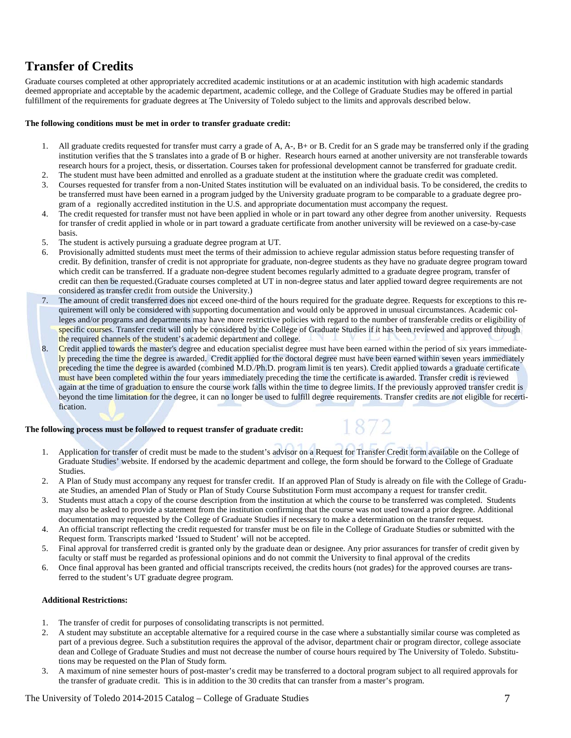### **Transfer of Credits**

Graduate courses completed at other appropriately accredited academic institutions or at an academic institution with high academic standards deemed appropriate and acceptable by the academic department, academic college, and the College of Graduate Studies may be offered in partial fulfillment of the requirements for graduate degrees at The University of Toledo subject to the limits and approvals described below.

#### **The following conditions must be met in order to transfer graduate credit:**

- 1. All graduate credits requested for transfer must carry a grade of A, A-, B+ or B. Credit for an S grade may be transferred only if the grading institution verifies that the S translates into a grade of B or higher. Research hours earned at another university are not transferable towards research hours for a project, thesis, or dissertation. Courses taken for professional development cannot be transferred for graduate credit.
- 2. The student must have been admitted and enrolled as a graduate student at the institution where the graduate credit was completed. 3. Courses requested for transfer from a non-United States institution will be evaluated on an individual basis. To be considered, the credits to be transferred must have been earned in a program judged by the University graduate program to be comparable to a graduate degree program of a regionally accredited institution in the U.S. and appropriate documentation must accompany the request.
- 4. The credit requested for transfer must not have been applied in whole or in part toward any other degree from another university. Requests for transfer of credit applied in whole or in part toward a graduate certificate from another university will be reviewed on a case-by-case basis.
- 5. The student is actively pursuing a graduate degree program at UT.
- 6. Provisionally admitted students must meet the terms of their admission to achieve regular admission status before requesting transfer of credit. By definition, transfer of credit is not appropriate for graduate, non-degree students as they have no graduate degree program toward which credit can be transferred. If a graduate non-degree student becomes regularly admitted to a graduate degree program, transfer of credit can then be requested.(Graduate courses completed at UT in non-degree status and later applied toward degree requirements are not considered as transfer credit from outside the University.)
- 7. The amount of credit transferred does not exceed one-third of the hours required for the graduate degree. Requests for exceptions to this requirement will only be considered with supporting documentation and would only be approved in unusual circumstances. Academic colleges and/or programs and departments may have more restrictive policies with regard to the number of transferable credits or eligibility of specific courses. Transfer credit will only be considered by the College of Graduate Studies if it has been reviewed and approved through the required channels of the student's academic department and college.
- 8. Credit applied towards the master's degree and education specialist degree must have been earned within the period of six years immediately preceding the time the degree is awarded. Credit applied for the doctoral degree must have been earned within seven years immediately preceding the time the degree is awarded (combined M.D./Ph.D. program limit is ten years). Credit applied towards a graduate certificate must have been completed within the four years immediately preceding the time the certificate is awarded. Transfer credit is reviewed again at the time of graduation to ensure the course work falls within the time to degree limits. If the previously approved transfer credit is beyond the time limitation for the degree, it can no longer be used to fulfill degree requirements. Transfer credits are not eligible for recertification.

#### **The following process must be followed to request transfer of graduate credit:**

- 1. Application for transfer of credit must be made to the student's advisor on [a Request for Transfer Credit](http://www.utoledo.edu/graduate/forms/TransferCred.pdf) form available on the College of Graduate Studies' website. If endorsed by the academic department and college, the form should be forward to the College of Graduate Studies.
- 2. A Plan of Study must accompany any request for transfer credit. If an approved Plan of Study is already on file with the College of Graduate Studies, an amended Plan of Study or Plan of Study Course Substitution Form must accompany a request for transfer credit.
- 3. Students must attach a copy of the course description from the institution at which the course to be transferred was completed. Students may also be asked to provide a statement from the institution confirming that the course was not used toward a prior degree. Additional documentation may requested by the College of Graduate Studies if necessary to make a determination on the transfer request.
- 4. An official transcript reflecting the credit requested for transfer must be on file in the College of Graduate Studies or submitted with the Request form. Transcripts marked 'Issued to Student' will not be accepted.
- 5. Final approval for transferred credit is granted only by the graduate dean or designee. Any prior assurances for transfer of credit given by faculty or staff must be regarded as professional opinions and do not commit the University to final approval of the credits
- 6. Once final approval has been granted and official transcripts received, the credits hours (not grades) for the approved courses are transferred to the student's UT graduate degree program.

#### **Additional Restrictions:**

- 1. The transfer of credit for purposes of consolidating transcripts is not permitted.
- 2. A student may substitute an acceptable alternative for a required course in the case where a substantially similar course was completed as part of a previous degree. Such a substitution requires the approval of the advisor, department chair or program director, college associate dean and College of Graduate Studies and must not decrease the number of course hours required by The University of Toledo. Substitutions may be requested on the Plan of Study form.
- 3. A maximum of nine semester hours of post-master's credit may be transferred to a doctoral program subject to all required approvals for the transfer of graduate credit. This is in addition to the 30 credits that can transfer from a master's program.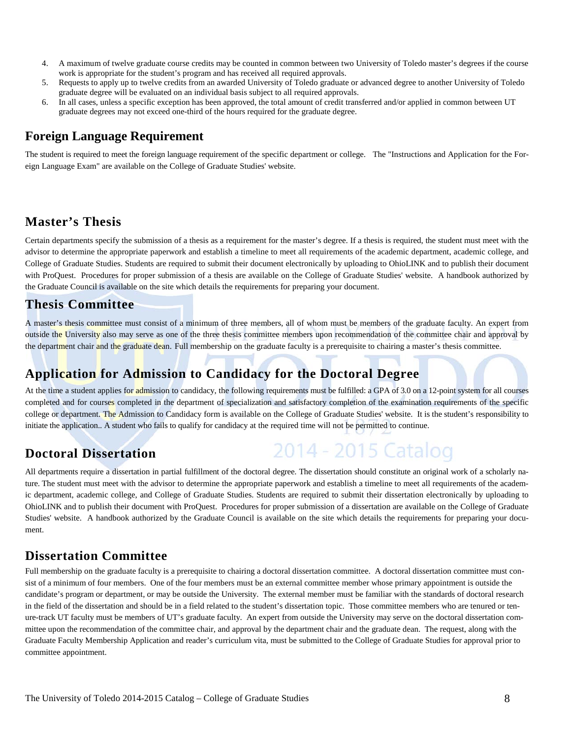- 4. A maximum of twelve graduate course credits may be counted in common between two University of Toledo master's degrees if the course work is appropriate for the student's program and has received all required approvals.
- 5. Requests to apply up to twelve credits from an awarded University of Toledo graduate or advanced degree to another University of Toledo graduate degree will be evaluated on an individual basis subject to all required approvals.
- 6. In all cases, unless a specific exception has been approved, the total amount of credit transferred and/or applied in common between UT graduate degrees may not exceed one-third of the hours required for the graduate degree.

#### **Foreign Language Requirement**

The student is required to meet the foreign language requirement of the specific department or college. The "Instructions and Application for the Foreign Language Exam" are available on the College of Graduate Studies' website.

#### **Master's Thesis**

Certain departments specify the submission of a thesis as a requirement for the master's degree. If a thesis is required, the student must meet with the advisor to determine the appropriate paperwork and establish a timeline to meet all requirements of the academic department, academic college, and College of Graduate Studies. Students are required to submit their document electronically by uploading to OhioLINK and to publish their document with ProQuest. Procedures for proper submission of a thesis are available on the College of Graduate Studies' website. A handbook authorized by the Graduate Council is available on the site which details the requirements for preparing your document.

#### **Thesis Committee**

A master's thesis committee must consist of a minimum of three members, all of whom must be members of the graduate faculty. An expert from outside the University also may serve as one of the three thesis committee members upon recommendation of the committee chair and approval by the department chair and the graduate dean. Full membership on the graduate faculty is a prerequisite to chairing a master's thesis committee.

## **Application for Admission to Candidacy for the Doctoral Degree**

At the time a student applies for admission to candidacy, the following requirements must be fulfilled: a GPA of 3.0 on a 12-point system for all courses completed and for courses completed in the department of specialization and satisfactory completion of the examination requirements of the specific college or department. The Admission to Candidacy form is available on the College of Graduate Studies' website. It is the student's responsibility to initiate the application.. A student who fails to qualify for candidacy at the required time will not be permitted to continue.

2014 - 2015 Catalog

### **Doctoral Dissertation**

All departments require a dissertation in partial fulfillment of the doctoral degree. The dissertation should constitute an original work of a scholarly nature. The student must meet with the advisor to determine the appropriate paperwork and establish a timeline to meet all requirements of the academic department, academic college, and College of Graduate Studies. Students are required to submit their dissertation electronically by uploading to OhioLINK and to publish their document with ProQuest. Procedures for proper submission of a dissertation are available on the College of Graduate Studies' website. A handbook authorized by the Graduate Council is available on the site which details the requirements for preparing your document.

#### **Dissertation Committee**

Full membership on the graduate faculty is a prerequisite to chairing a doctoral dissertation committee. A doctoral dissertation committee must consist of a minimum of four members. One of the four members must be an external committee member whose primary appointment is outside the candidate's program or department, or may be outside the University. The external member must be familiar with the standards of doctoral research in the field of the dissertation and should be in a field related to the student's dissertation topic. Those committee members who are tenured or tenure-track UT faculty must be members of UT's graduate faculty. An expert from outside the University may serve on the doctoral dissertation committee upon the recommendation of the committee chair, and approval by the department chair and the graduate dean. The request, along with the Graduate Faculty Membership Application and reader's curriculum vita, must be submitted to the College of Graduate Studies for approval prior to committee appointment.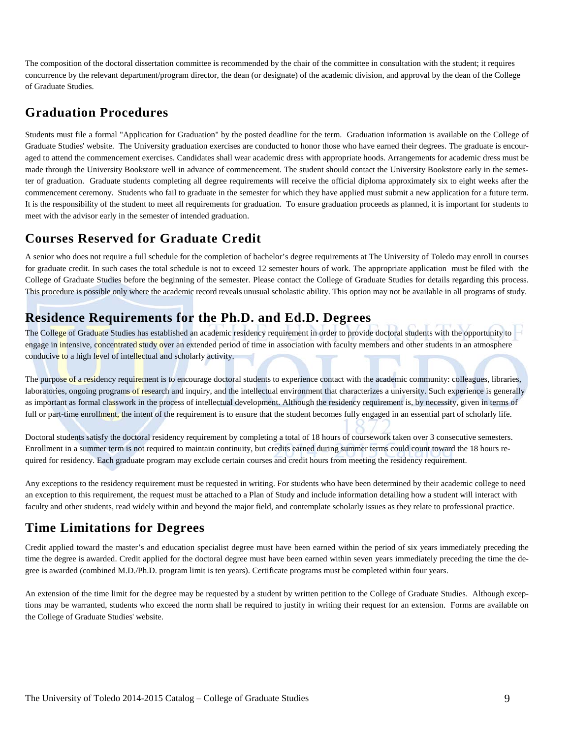The composition of the doctoral dissertation committee is recommended by the chair of the committee in consultation with the student; it requires concurrence by the relevant department/program director, the dean (or designate) of the academic division, and approval by the dean of the College of Graduate Studies.

#### **Graduation Procedures**

Students must file a formal "Application for Graduation" by the posted deadline for the term. Graduation information is available on the College of Graduate Studies' website. The University graduation exercises are conducted to honor those who have earned their degrees. The graduate is encouraged to attend the commencement exercises. Candidates shall wear academic dress with appropriate hoods. Arrangements for academic dress must be made through the University Bookstore well in advance of commencement. The student should contact the University Bookstore early in the semester of graduation. Graduate students completing all degree requirements will receive the official diploma approximately six to eight weeks after the commencement ceremony. Students who fail to graduate in the semester for which they have applied must submit a new application for a future term. It is the responsibility of the student to meet all requirements for graduation. To ensure graduation proceeds as planned, it is important for students to meet with the advisor early in the semester of intended graduation.

### **Courses Reserved for Graduate Credit**

A senior who does not require a full schedule for the completion of bachelor's degree requirements at The University of Toledo may enroll in courses for graduate credit. In such cases the total schedule is not to exceed 12 semester hours of work. The appropriate application must be filed with the College of Graduate Studies before the beginning of the semester. Please contact the College of Graduate Studies for details regarding this process. This procedure is possible only where the academic record reveals unusual scholastic ability. This option may not be available in all programs of study.

### **Residence Requirements for the Ph.D. and Ed.D. Degrees**

The College of Graduate Studies has established an academic residency requirement in order to provide doctoral students with the opportunity to engage in intensive, concentrated study over an extended period of time in association with faculty members and other students in an atmosphere conducive to a high level of intellectual and scholarly activity.

The purpose of a residency requirement is to encourage doctoral students to experience contact with the academic community: colleagues, libraries, laboratories, ongoing programs of research and inquiry, and the intellectual environment that characterizes a university. Such experience is generally as important as formal classwork in the process of intellectual development. Although the residency requirement is, by necessity, given in terms of full or part-time enrollment, the intent of the requirement is to ensure that the student becomes fully engaged in an essential part of scholarly life.

Doctoral students satisfy the doctoral residency requirement by completing a total of 18 hours of coursework taken over 3 consecutive semesters. Enrollment in a summer term is not required to maintain continuity, but credits earned during summer terms could count toward the 18 hours required for residency. Each graduate program may exclude certain courses and credit hours from meeting the residency requirement.

Any exceptions to the residency requirement must be requested in writing. For students who have been determined by their academic college to need an exception to this requirement, the request must be attached to a Plan of Study and include information detailing how a student will interact with faculty and other students, read widely within and beyond the major field, and contemplate scholarly issues as they relate to professional practice.

### **Time Limitations for Degrees**

Credit applied toward the master's and education specialist degree must have been earned within the period of six years immediately preceding the time the degree is awarded. Credit applied for the doctoral degree must have been earned within seven years immediately preceding the time the degree is awarded (combined M.D./Ph.D. program limit is ten years). Certificate programs must be completed within four years.

An extension of the time limit for the degree may be requested by a student by written petition to the College of Graduate Studies. Although exceptions may be warranted, students who exceed the norm shall be required to justify in writing their request for an extension. Forms are available on the College of Graduate Studies' website.